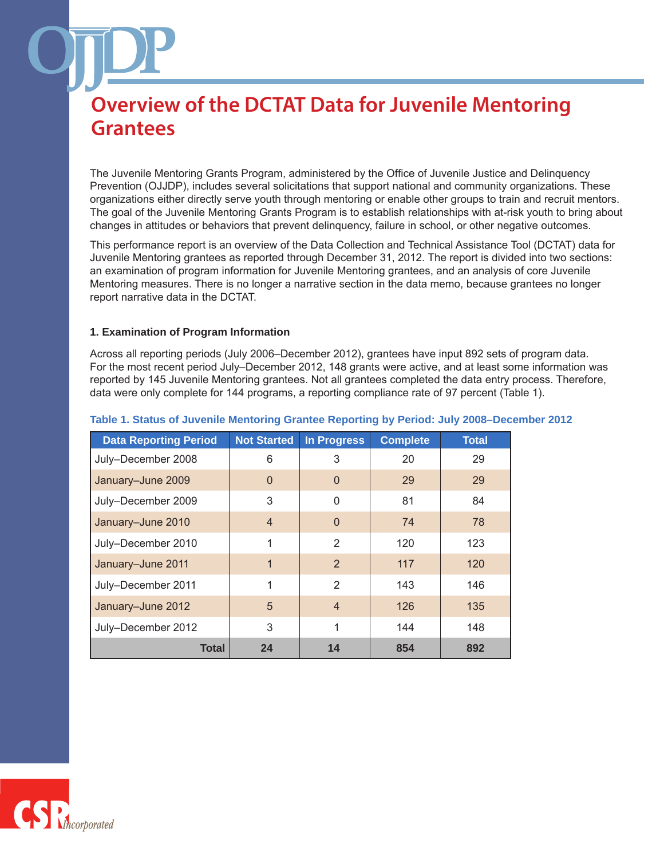The Juvenile Mentoring Grants Program, administered by the Office of Juvenile Justice and Delinquency Prevention (OJJDP), includes several solicitations that support national and community organizations. These organizations either directly serve youth through mentoring or enable other groups to train and recruit mentors. The goal of the Juvenile Mentoring Grants Program is to establish relationships with at-risk youth to bring about changes in attitudes or behaviors that prevent delinquency, failure in school, or other negative outcomes.

This performance report is an overview of the Data Collection and Technical Assistance Tool (DCTAT) data for Juvenile Mentoring grantees as reported through December 31, 2012. The report is divided into two sections: an examination of program information for Juvenile Mentoring grantees, and an analysis of core Juvenile Mentoring measures. There is no longer a narrative section in the data memo, because grantees no longer report narrative data in the DCTAT.

### **1. Examination of Program Information**

Across all reporting periods (July 2006–December 2012), grantees have input 892 sets of program data. For the most recent period July–December 2012, 148 grants were active, and at least some information was reported by 145 Juvenile Mentoring grantees. Not all grantees completed the data entry process. Therefore, data were only complete for 144 programs, a reporting compliance rate of 97 percent (Table 1).

| <b>Data Reporting Period</b> | <b>Not Started</b> | <b>In Progress</b> | <b>Complete</b> | <b>Total</b> |
|------------------------------|--------------------|--------------------|-----------------|--------------|
| July-December 2008           | 6                  | 3                  | 20              | 29           |
| January-June 2009            | $\Omega$           | $\Omega$           | 29              | 29           |
| July-December 2009           | 3                  | $\Omega$           | 81              | 84           |
| January-June 2010            | $\overline{4}$     | $\Omega$           | 74              | 78           |
| July-December 2010           | 1                  | $\mathcal{P}$      | 120             | 123          |
| January-June 2011            | 1                  | 2                  | 117             | 120          |
| July-December 2011           | 1                  | $\mathfrak{p}$     | 143             | 146          |
| January-June 2012            | 5                  | $\overline{4}$     | 126             | 135          |
| July-December 2012           | 3                  | 1                  | 144             | 148          |
| Total                        | 24                 | 14                 | 854             | 892          |

### **Table 1. Status of Juvenile Mentoring Grantee Reporting by Period: July 2008–December 2012**

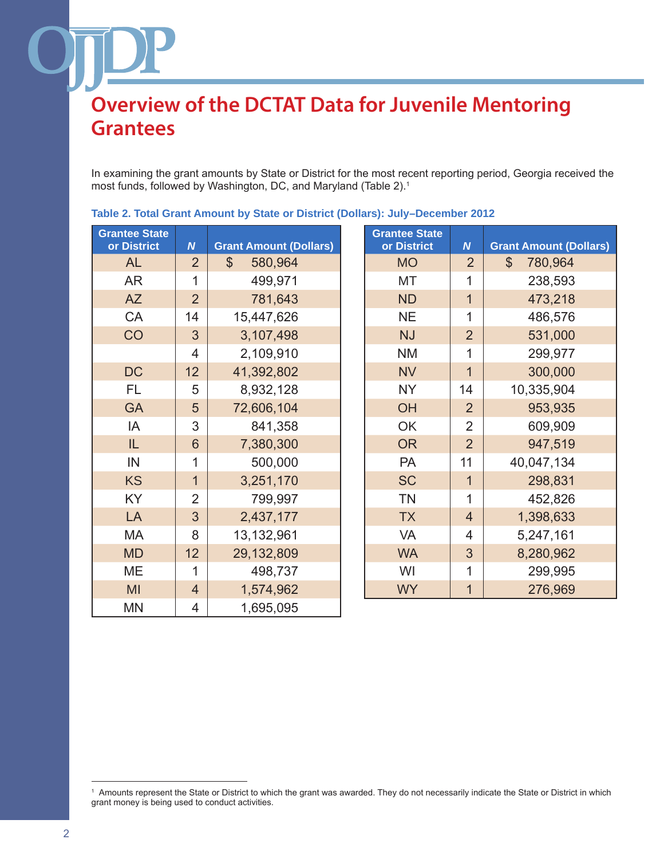In examining the grant amounts by State or District for the most recent reporting period, Georgia received the most funds, followed by Washington, DC, and Maryland (Table 2).1

| <b>Grantee State</b><br>or District | $\boldsymbol{N}$ | <b>Grant Amount (Dollars)</b> | <b>Grantee State</b><br>or District | $\boldsymbol{N}$ | <b>Grant Amount (Dollars)</b> |
|-------------------------------------|------------------|-------------------------------|-------------------------------------|------------------|-------------------------------|
| <b>AL</b>                           | $\overline{2}$   | $\mathbb{S}$<br>580,964       | <b>MO</b>                           | $\overline{2}$   | $\mathbb{S}$<br>780,964       |
| <b>AR</b>                           | 1                | 499,971                       | MT                                  | 1                | 238,593                       |
| <b>AZ</b>                           | $\overline{2}$   | 781,643                       | <b>ND</b>                           | $\overline{1}$   | 473,218                       |
| CA                                  | 14               | 15,447,626                    | <b>NE</b>                           | 1                | 486,576                       |
| CO                                  | 3                | 3,107,498                     | <b>NJ</b>                           | $\overline{2}$   | 531,000                       |
|                                     | $\overline{4}$   | 2,109,910                     | <b>NM</b>                           | 1                | 299,977                       |
| <b>DC</b>                           | 12               | 41,392,802                    | <b>NV</b>                           | $\overline{1}$   | 300,000                       |
| <b>FL</b>                           | 5                | 8,932,128                     | <b>NY</b>                           | 14               | 10,335,904                    |
| <b>GA</b>                           | 5                | 72,606,104                    | OH                                  | $\overline{2}$   | 953,935                       |
| IA                                  | 3                | 841,358                       | OK                                  | $\overline{2}$   | 609,909                       |
| IL                                  | $6\phantom{1}$   | 7,380,300                     | <b>OR</b>                           | $\overline{2}$   | 947,519                       |
| IN                                  | 1                | 500,000                       | <b>PA</b>                           | 11               | 40,047,134                    |
| <b>KS</b>                           | $\mathbf{1}$     | 3,251,170                     | <b>SC</b>                           | $\overline{1}$   | 298,831                       |
| <b>KY</b>                           | $\overline{2}$   | 799,997                       | <b>TN</b>                           | 1                | 452,826                       |
| LA                                  | 3                | 2,437,177                     | <b>TX</b>                           | $\overline{4}$   | 1,398,633                     |
| MA                                  | 8                | 13,132,961                    | <b>VA</b>                           | $\overline{4}$   | 5,247,161                     |
| <b>MD</b>                           | 12               | 29,132,809                    | <b>WA</b>                           | 3                | 8,280,962                     |
| ME                                  | 1                | 498,737                       | WI                                  | 1                | 299,995                       |
| MI                                  | $\overline{4}$   | 1,574,962                     | <b>WY</b>                           | $\mathbf 1$      | 276,969                       |
| <b>MN</b>                           | 4                | 1,695,095                     |                                     |                  |                               |

**Table 2. Total Grant Amount by State or District (Dollars): July–December 2012**

<sup>1</sup> Amounts represent the State or District to which the grant was awarded. They do not necessarily indicate the State or District in which grant money is being used to conduct activities.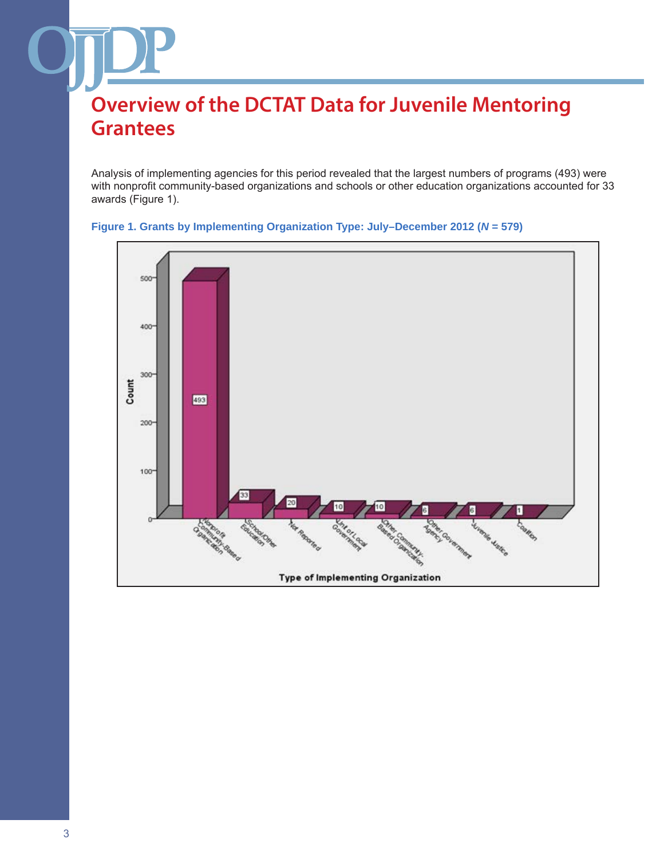Analysis of implementing agencies for this period revealed that the largest numbers of programs (493) were with nonprofit community-based organizations and schools or other education organizations accounted for 33 awards (Figure 1).



### **Figure 1. Grants by Implementing Organization Type: July–December 2012 (***N* **= 579)**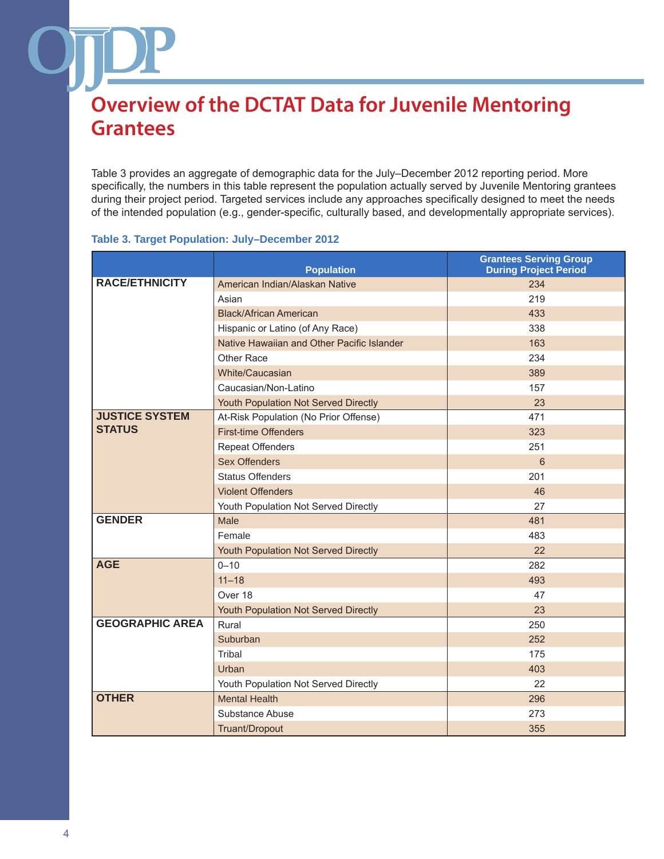Table 3 provides an aggregate of demographic data for the July–December 2012 reporting period. More specifically, the numbers in this table represent the population actually served by Juvenile Mentoring grantees during their project period. Targeted services include any approaches specifically designed to meet the needs of the intended population (e.g., gender-specific, culturally based, and developmentally appropriate services).

### **Table 3. Target Population: July–December 2012**

|                        | <b>Population</b>                          | <b>Grantees Serving Group</b><br><b>During Project Period</b> |
|------------------------|--------------------------------------------|---------------------------------------------------------------|
| <b>RACE/ETHNICITY</b>  | American Indian/Alaskan Native             | 234                                                           |
|                        | Asian                                      | 219                                                           |
|                        | <b>Black/African American</b>              | 433                                                           |
|                        | Hispanic or Latino (of Any Race)           | 338                                                           |
|                        | Native Hawaiian and Other Pacific Islander | 163                                                           |
|                        | Other Race                                 | 234                                                           |
|                        | White/Caucasian                            | 389                                                           |
|                        | Caucasian/Non-Latino                       | 157                                                           |
|                        | Youth Population Not Served Directly       | 23                                                            |
| <b>JUSTICE SYSTEM</b>  | At-Risk Population (No Prior Offense)      | 471                                                           |
| <b>STATUS</b>          | <b>First-time Offenders</b>                | 323                                                           |
|                        | <b>Repeat Offenders</b>                    | 251                                                           |
|                        | <b>Sex Offenders</b>                       | 6                                                             |
|                        | <b>Status Offenders</b>                    | 201                                                           |
|                        | <b>Violent Offenders</b>                   | 46                                                            |
|                        | Youth Population Not Served Directly       | 27                                                            |
| <b>GENDER</b>          | Male                                       | 481                                                           |
|                        | Female                                     | 483                                                           |
|                        | Youth Population Not Served Directly       | 22                                                            |
| <b>AGE</b>             | $0 - 10$                                   | 282                                                           |
|                        | $11 - 18$                                  | 493                                                           |
|                        | Over 18                                    | 47                                                            |
|                        | Youth Population Not Served Directly       | 23                                                            |
| <b>GEOGRAPHIC AREA</b> | Rural                                      | 250                                                           |
|                        | Suburban                                   | 252                                                           |
|                        | Tribal                                     | 175                                                           |
|                        | Urban                                      | 403                                                           |
|                        | Youth Population Not Served Directly       | 22                                                            |
| <b>OTHER</b>           | <b>Mental Health</b>                       | 296                                                           |
|                        | Substance Abuse                            | 273                                                           |
|                        | Truant/Dropout                             | 355                                                           |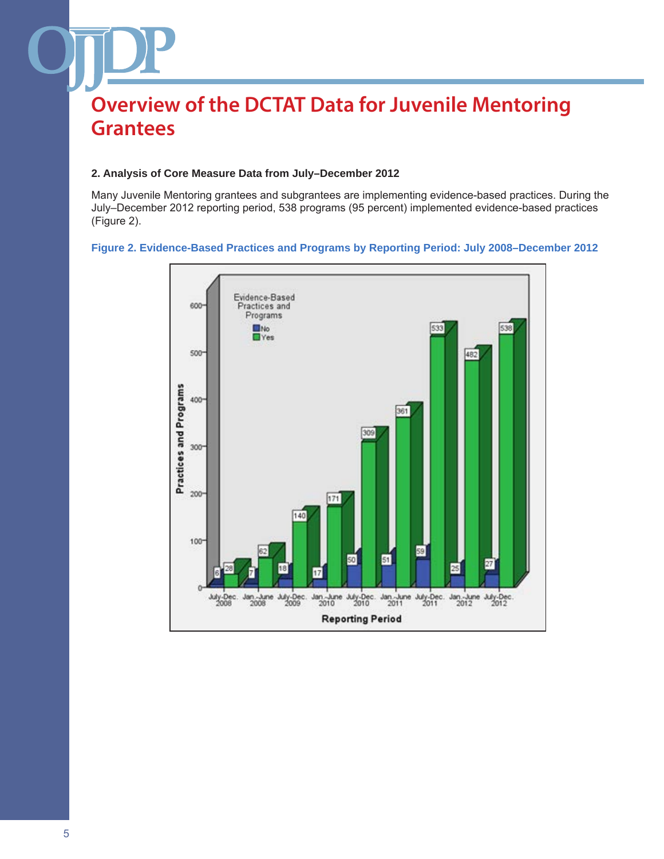### **2. Analysis of Core Measure Data from July–December 2012**

Many Juvenile Mentoring grantees and subgrantees are implementing evidence-based practices. During the July–December 2012 reporting period, 538 programs (95 percent) implemented evidence-based practices (Figure 2).

# **Figure 2. Evidence-Based Practices and Programs by Reporting Period: July 2008–December 2012**

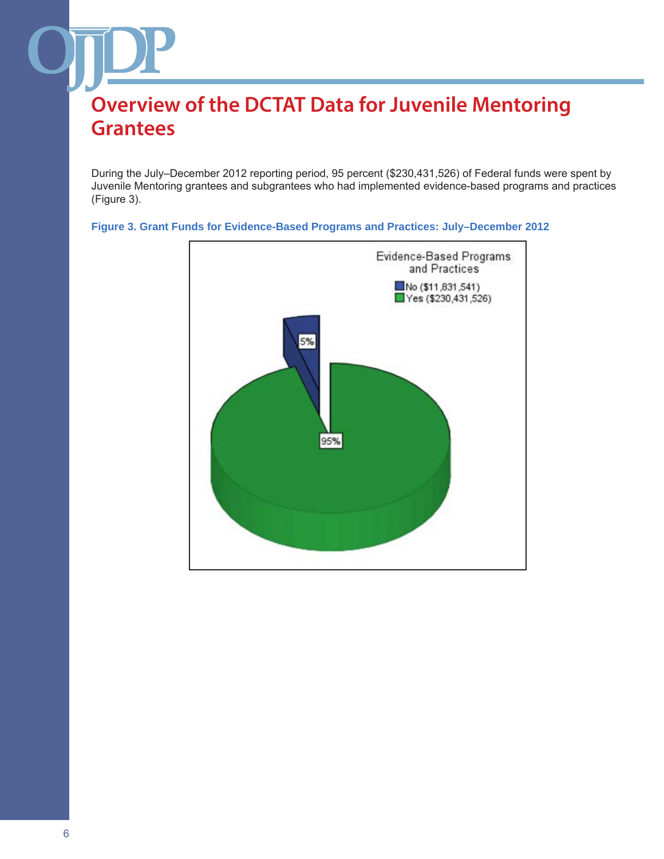During the July–December 2012 reporting period, 95 percent (\$230,431,526) of Federal funds were spent by Juvenile Mentoring grantees and subgrantees who had implemented evidence-based programs and practices (Figure 3).



# **Figure 3. Grant Funds for Evidence-Based Programs and Practices: July–December 2012**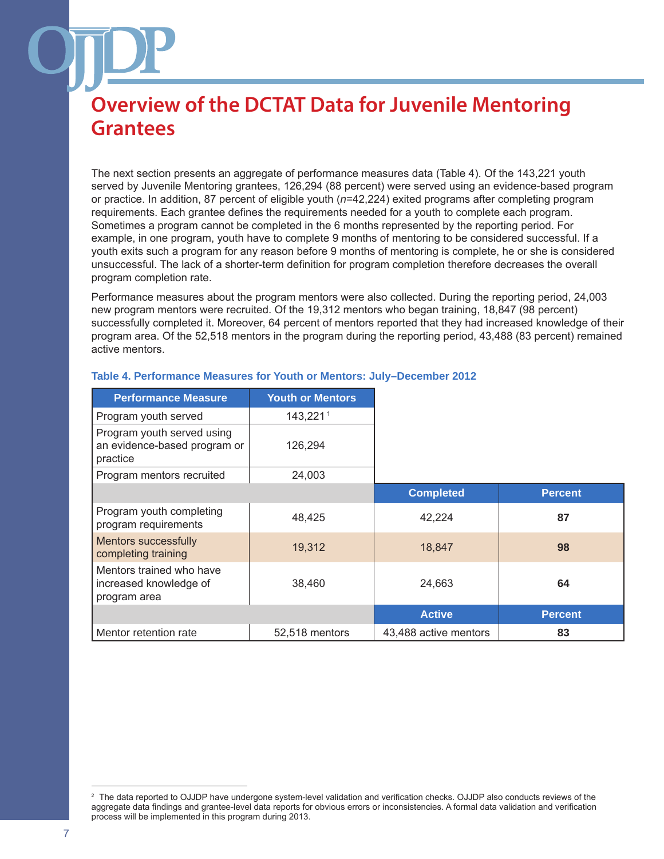The next section presents an aggregate of performance measures data (Table 4). Of the 143,221 youth served by Juvenile Mentoring grantees, 126,294 (88 percent) were served using an evidence-based program or practice. In addition, 87 percent of eligible youth (*n*=42,224) exited programs after completing program requirements. Each grantee defines the requirements needed for a youth to complete each program. Sometimes a program cannot be completed in the 6 months represented by the reporting period. For example, in one program, youth have to complete 9 months of mentoring to be considered successful. If a youth exits such a program for any reason before 9 months of mentoring is complete, he or she is considered unsuccessful. The lack of a shorter-term definition for program completion therefore decreases the overall program completion rate.

Performance measures about the program mentors were also collected. During the reporting period, 24,003 new program mentors were recruited. Of the 19,312 mentors who began training, 18,847 (98 percent) successfully completed it. Moreover, 64 percent of mentors reported that they had increased knowledge of their program area. Of the 52,518 mentors in the program during the reporting period, 43,488 (83 percent) remained active mentors.

| <b>Performance Measure</b>                                             | <b>Youth or Mentors</b> |                       |                |
|------------------------------------------------------------------------|-------------------------|-----------------------|----------------|
| Program youth served                                                   | 143,2211                |                       |                |
| Program youth served using<br>an evidence-based program or<br>practice | 126,294                 |                       |                |
| Program mentors recruited                                              | 24,003                  |                       |                |
|                                                                        |                         | <b>Completed</b>      | <b>Percent</b> |
| Program youth completing<br>program requirements                       | 48,425                  | 42,224                | 87             |
| Mentors successfully<br>completing training                            | 19,312                  | 18,847                | 98             |
| Mentors trained who have<br>increased knowledge of<br>program area     | 38,460                  | 24,663                | 64             |
|                                                                        |                         | <b>Active</b>         | <b>Percent</b> |
| Mentor retention rate                                                  | 52,518 mentors          | 43,488 active mentors | 83             |

### **Table 4. Performance Measures for Youth or Mentors: July–December 2012**

The data reported to OJJDP have undergone system-level validation and verification checks. OJJDP also conducts reviews of the aggregate data findings and grantee-level data reports for obvious errors or inconsistencies. A formal data validation and verification process will be implemented in this program during 2013.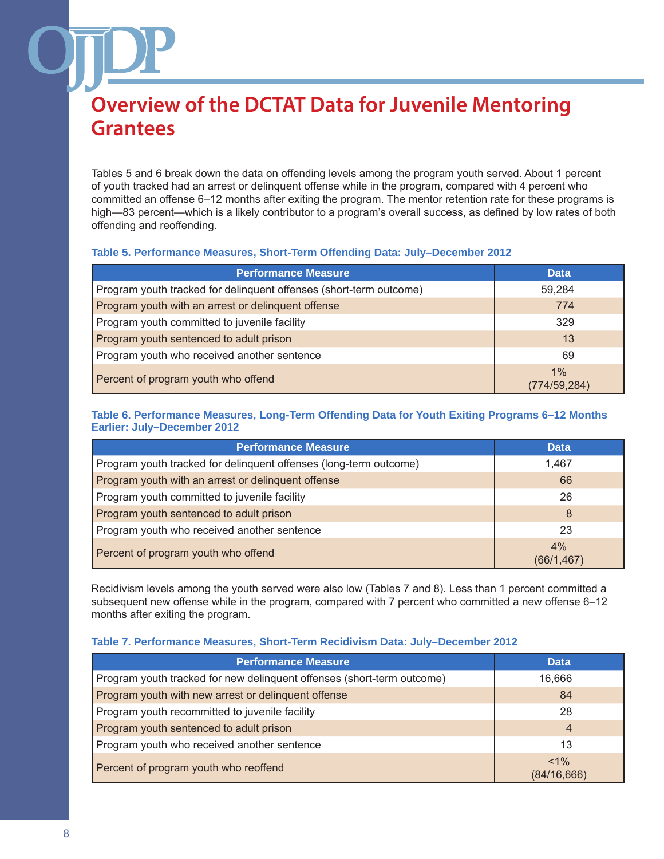Tables 5 and 6 break down the data on offending levels among the program youth served. About 1 percent of youth tracked had an arrest or delinquent offense while in the program, compared with 4 percent who committed an offense 6–12 months after exiting the program. The mentor retention rate for these programs is high—83 percent—which is a likely contributor to a program's overall success, as defined by low rates of both offending and reoffending.

## **Table 5. Performance Measures, Short-Term Offending Data: July–December 2012**

| <b>Performance Measure</b>                                         | <b>Data</b>        |
|--------------------------------------------------------------------|--------------------|
| Program youth tracked for delinquent offenses (short-term outcome) | 59,284             |
| Program youth with an arrest or delinguent offense                 | 774                |
| Program youth committed to juvenile facility                       | 329                |
| Program youth sentenced to adult prison                            | 13                 |
| Program youth who received another sentence                        | 69                 |
| Percent of program youth who offend                                | 1%<br>(774/59,284) |

### **Table 6. Performance Measures, Long-Term Offending Data for Youth Exiting Programs 6–12 Months Earlier: July–December 2012**

| <b>Performance Measure</b>                                        | <b>Data</b>      |
|-------------------------------------------------------------------|------------------|
| Program youth tracked for delinquent offenses (long-term outcome) | 1.467            |
| Program youth with an arrest or delinquent offense                | 66               |
| Program youth committed to juvenile facility                      | 26               |
| Program youth sentenced to adult prison                           | 8                |
| Program youth who received another sentence                       | 23               |
| Percent of program youth who offend                               | 4%<br>(66/1,467) |

Recidivism levels among the youth served were also low (Tables 7 and 8). Less than 1 percent committed a subsequent new offense while in the program, compared with 7 percent who committed a new offense 6–12 months after exiting the program.

### **Table 7. Performance Measures, Short-Term Recidivism Data: July–December 2012**

| <b>Performance Measure</b>                                             | <b>Data</b>            |
|------------------------------------------------------------------------|------------------------|
| Program youth tracked for new delinquent offenses (short-term outcome) | 16,666                 |
| Program youth with new arrest or delinquent offense                    | 84                     |
| Program youth recommitted to juvenile facility                         | 28                     |
| Program youth sentenced to adult prison                                | $\overline{4}$         |
| Program youth who received another sentence                            | 13                     |
| Percent of program youth who reoffend                                  | $< 1\%$<br>(84/16,666) |